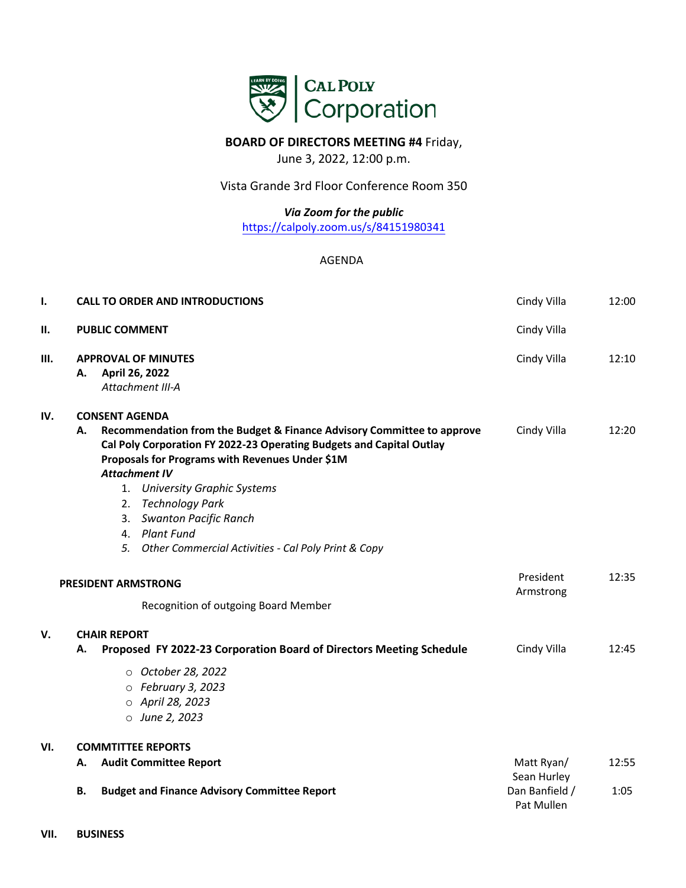

## **BOARD OF DIRECTORS MEETING #4** Friday,

June 3, 2022, 12:00 p.m.

Vista Grande 3rd Floor Conference Room 350

*[Via Zoom for the public](https://calpoly.zoom.us/j/84151980341)* 

https://calpoly.zoom.us/s/84151980341

AGENDA

| ı.                                                                 | <b>CALL TO ORDER AND INTRODUCTIONS</b>                                                                                                                                                                                                                   | Cindy Villa                                                                                                                                        | 12:00                                       |       |
|--------------------------------------------------------------------|----------------------------------------------------------------------------------------------------------------------------------------------------------------------------------------------------------------------------------------------------------|----------------------------------------------------------------------------------------------------------------------------------------------------|---------------------------------------------|-------|
| Ш.                                                                 | <b>PUBLIC COMMENT</b>                                                                                                                                                                                                                                    | Cindy Villa                                                                                                                                        |                                             |       |
| Ш.                                                                 | <b>APPROVAL OF MINUTES</b><br>April 26, 2022<br>А.<br>Attachment III-A                                                                                                                                                                                   | Cindy Villa                                                                                                                                        | 12:10                                       |       |
| IV.                                                                | <b>CONSENT AGENDA</b><br>Recommendation from the Budget & Finance Advisory Committee to approve<br>А.<br>Cal Poly Corporation FY 2022-23 Operating Budgets and Capital Outlay<br>Proposals for Programs with Revenues Under \$1M<br><b>Attachment IV</b> |                                                                                                                                                    | Cindy Villa                                 | 12:20 |
|                                                                    | 1.<br>2.<br>3.<br>4. Plant Fund<br>5.                                                                                                                                                                                                                    | <b>University Graphic Systems</b><br><b>Technology Park</b><br><b>Swanton Pacific Ranch</b><br>Other Commercial Activities - Cal Poly Print & Copy |                                             |       |
| <b>PRESIDENT ARMSTRONG</b><br>Recognition of outgoing Board Member |                                                                                                                                                                                                                                                          |                                                                                                                                                    | President<br>Armstrong                      | 12:35 |
| v.                                                                 | <b>CHAIR REPORT</b><br>Proposed FY 2022-23 Corporation Board of Directors Meeting Schedule<br>А.                                                                                                                                                         |                                                                                                                                                    | Cindy Villa                                 | 12:45 |
|                                                                    | O October 28, 2022<br>$\circ$ February 3, 2023<br>○ April 28, 2023<br>$\circ$ June 2, 2023                                                                                                                                                               |                                                                                                                                                    |                                             |       |
| VI.                                                                | <b>COMMTITTEE REPORTS</b>                                                                                                                                                                                                                                |                                                                                                                                                    |                                             |       |
|                                                                    | <b>Audit Committee Report</b><br>А.                                                                                                                                                                                                                      |                                                                                                                                                    | Matt Ryan/                                  | 12:55 |
|                                                                    | В.                                                                                                                                                                                                                                                       | <b>Budget and Finance Advisory Committee Report</b>                                                                                                | Sean Hurley<br>Dan Banfield /<br>Pat Mullen | 1:05  |

**VII. BUSINESS**